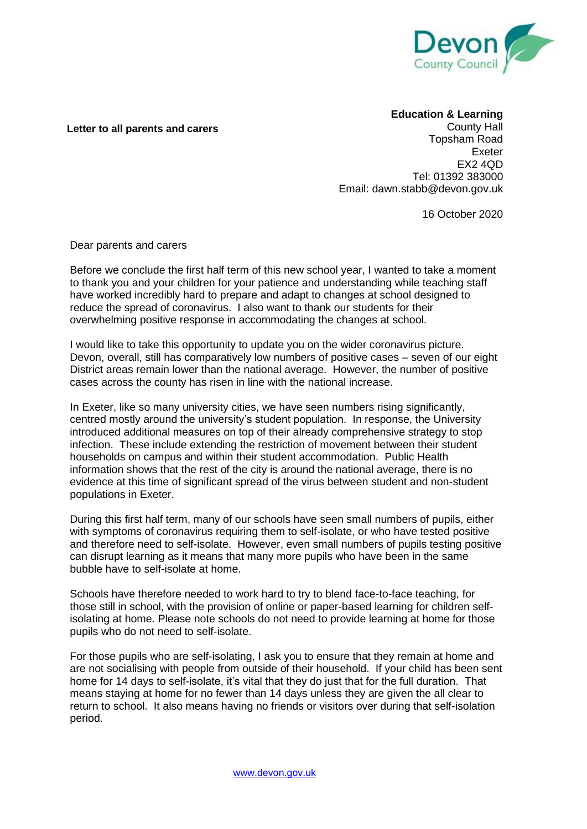

## **Letter to all parents and carers**

## **Education & Learning**

County Hall Topsham Road Exeter EX2 4QD Tel: 01392 383000 Email: dawn.stabb@devon.gov.uk

16 October 2020

Dear parents and carers

Before we conclude the first half term of this new school year, I wanted to take a moment to thank you and your children for your patience and understanding while teaching staff have worked incredibly hard to prepare and adapt to changes at school designed to reduce the spread of coronavirus. I also want to thank our students for their overwhelming positive response in accommodating the changes at school.

I would like to take this opportunity to update you on the wider coronavirus picture. Devon, overall, still has comparatively low numbers of positive cases – seven of our eight District areas remain lower than the national average. However, the number of positive cases across the county has risen in line with the national increase.

In Exeter, like so many university cities, we have seen numbers rising significantly, centred mostly around the university's student population. In response, the University introduced additional measures on top of their already comprehensive strategy to stop infection. These include extending the restriction of movement between their student households on campus and within their student accommodation. Public Health information shows that the rest of the city is around the national average, there is no evidence at this time of significant spread of the virus between student and non-student populations in Exeter.

During this first half term, many of our schools have seen small numbers of pupils, either with symptoms of coronavirus requiring them to self-isolate, or who have tested positive and therefore need to self-isolate. However, even small numbers of pupils testing positive can disrupt learning as it means that many more pupils who have been in the same bubble have to self-isolate at home.

Schools have therefore needed to work hard to try to blend face-to-face teaching, for those still in school, with the provision of online or paper-based learning for children selfisolating at home. Please note schools do not need to provide learning at home for those pupils who do not need to self-isolate.

For those pupils who are self-isolating, I ask you to ensure that they remain at home and are not socialising with people from outside of their household. If your child has been sent home for 14 days to self-isolate, it's vital that they do just that for the full duration. That means staying at home for no fewer than 14 days unless they are given the all clear to return to school. It also means having no friends or visitors over during that self-isolation period.